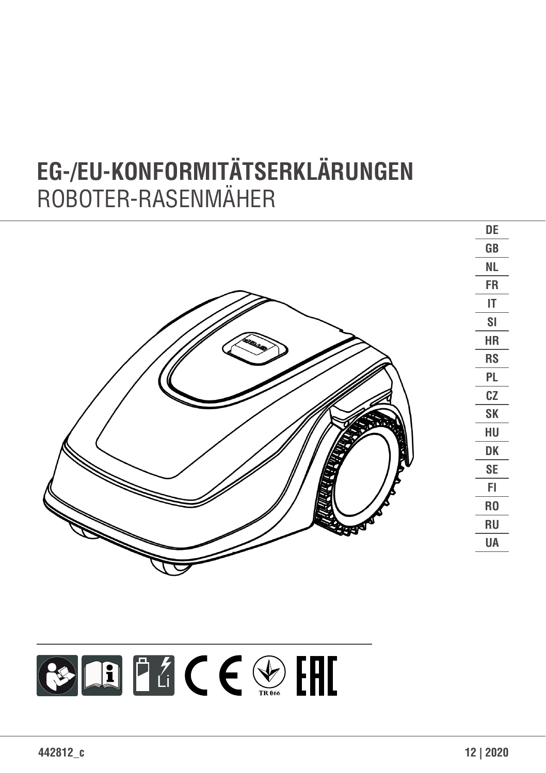# **EG-/EU-KONFORMITÄTSERKLÄRUNGEN** ROBOTER-RASENMÄHER

|           | DE                     |
|-----------|------------------------|
|           | $\mathsf{G}\mathsf{B}$ |
|           | <b>NL</b>              |
|           | <b>FR</b>              |
|           | $\mathsf{I}\mathsf{T}$ |
|           | S <sub>l</sub>         |
| $\bullet$ | ${\sf HR}$             |
|           | ${\sf RS}$             |
|           | $\mathsf{PL}$          |
|           | ${\tt CZ}$             |
| אבוצי     | ${\sf SK}$             |
| ź         | ${\sf H}{\sf U}$       |
| ن<br>پاک  | DK                     |
|           | $\mathsf{SE}\xspace$   |
|           | ${\sf FI}$             |
|           | R <sub>0</sub>         |
|           | ${\sf RU}$             |
|           | UA                     |
|           |                        |

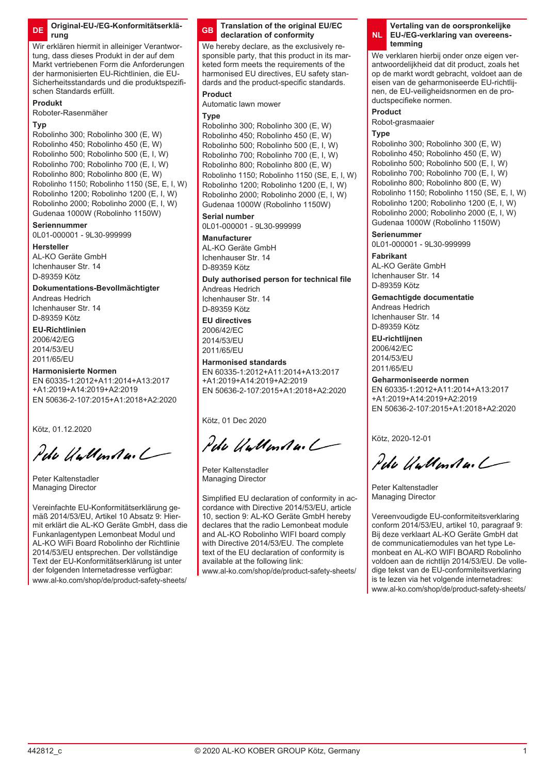Wir erklären hiermit in alleiniger Verantwortung, dass dieses Produkt in der auf dem Markt vertriebenen Form die Anforderungen der harmonisierten EU-Richtlinien, die EU-Sicherheitsstandards und die produktspezifischen Standards erfüllt.

### **Produkt**

Roboter-Rasenmäher

#### **Typ**

Robolinho 300; Robolinho 300 (E, W) Robolinho 450; Robolinho 450 (E, W) Robolinho 500; Robolinho 500 (E, I, W) Robolinho 700; Robolinho 700 (E, I, W) Robolinho 800; Robolinho 800 (E, W) Robolinho 1150; Robolinho 1150 (SE, E, I, W) Robolinho 1200; Robolinho 1200 (E, I, W) Robolinho 2000; Robolinho 2000 (E, I, W) Gudenaa 1000W (Robolinho 1150W)

#### **Seriennummer**

0L01-000001 - 9L30-999999

### **Hersteller**

AL-KO Geräte GmbH Ichenhauser Str. 14 D-89359 Kötz

#### **Dokumentations-Bevollmächtigter**

Andreas Hedrich Ichenhauser Str. 14 D-89359 Kötz

#### **EU-Richtlinien**

2006/42/EG 2014/53/EU 2011/65/EU

#### **Harmonisierte Normen**

EN 60335-1:2012+A11:2014+A13:2017 +A1:2019+A14:2019+A2:2019 EN 50636-2-107:2015+A1:2018+A2:2020

Kötz, 01.12.2020

Pela Wallanda. L

Peter Kaltenstadler Managing Director

Vereinfachte EU-Konformitätserklärung gemäß 2014/53/EU, Artikel 10 Absatz 9: Hiermit erklärt die AL-KO Geräte GmbH, dass die Funkanlagentypen Lemonbeat Modul und AL-KO WiFi Board Robolinho der Richtlinie 2014/53/EU entsprechen. Der vollständige Text der EU-Konformitätserklärung ist unter der folgenden Internetadresse verfügbar: www.al-ko.com/shop/de/product-safety-sheets/

#### **GB Translation of the original EU/EC declaration of conformity**

We hereby declare, as the exclusively responsible party, that this product in its marketed form meets the requirements of the harmonised EU directives, EU safety standards and the product-specific standards.

### **Product**

Automatic lawn mower

### **Type**

Robolinho 300; Robolinho 300 (E, W) Robolinho 450; Robolinho 450 (E, W) Robolinho 500; Robolinho 500 (E, I, W) Robolinho 700; Robolinho 700 (F, J, W) Robolinho 800; Robolinho 800 (E, W) Robolinho 1150; Robolinho 1150 (SE, E, I, W) Robolinho 1200; Robolinho 1200 (E, I, W) Robolinho 2000; Robolinho 2000 (E, I, W) Gudenaa 1000W (Robolinho 1150W)

#### **Serial number**

0L01-000001 - 9L30-999999

#### **Manufacturer**

AL-KO Geräte GmbH Ichenhauser Str. 14 D-89359 Kötz

### **Duly authorised person for technical file**

Andreas Hedrich Ichenhauser Str. 14 D-90250 KSH

**EU directives** 2006/42/EC 2014/53/EU 2011/65/EU

### **Harmonised standards**

EN 60335-1:2012+A11:2014+A13:2017 +A1:2019+A14:2019+A2:2019 EN 50636-2-107:2015+A1:2018+A2:2020

Kötz, 01 Dec 2020

Pelo UnMental

Peter Kaltenstadler Managing Director

Simplified EU declaration of conformity in accordance with Directive 2014/53/EU, article 10, section 9: AL-KO Geräte GmbH hereby declares that the radio Lemonbeat module and AL-KO Robolinho WIFI board comply with Directive 2014/53/EU. The complete text of the EU declaration of conformity is available at the following link:

www.al-ko.com/shop/de/product-safety-sheets/

#### **NL Vertaling van de oorspronkelijke EU-/EG-verklaring van overeenstemming**

We verklaren hierbij onder onze eigen verantwoordelijkheid dat dit product, zoals het op de markt wordt gebracht, voldoet aan de eisen van de geharmoniseerde EU-richtlijnen, de EU-veiligheidsnormen en de productspecifieke normen.

#### **Product**

Robot-grasmaaier

#### **Type**

Robolinho 300; Robolinho 300 (E, W)  $Roholinho 450; Roholinho 450 (F, W)$ Robolinho 500; Robolinho 500 (E, I, W) Robolinho 700; Robolinho 700 (E, I, W) Robolinho 800; Robolinho 800 (E, W) Robolinho 1150; Robolinho 1150 (SE, E, I, W) Robolinho 1200; Robolinho 1200 (E, I, W) Robolinho 2000; Robolinho 2000 (E, I, W) Gudenaa 1000W (Robolinho 1150W)

#### **Serienummer**

0L01-000001 - 9L30-999999

**Fabrikant** AL-KO Geräte GmbH Ichenhauser Str. 14 D-89359 Kötz

#### **Gemachtigde documentatie**

Andreas Hedrich Ichenhauser Str. 14 D-89359 Kötz

### **EU-richtlijnen**

2006/42/EC 2014/53/EU 2011/65/EU

#### **Geharmoniseerde normen**

EN 60335-1:2012+A11:2014+A13:2017 +A1:2019+A14:2019+A2:2019 EN 50636-2-107:2015+A1:2018+A2:2020

Kötz, 2020-12-01

Pela Valley Auch

Peter Kaltenstadler Managing Director

Vereenvoudigde EU-conformiteitsverklaring conform 2014/53/EU, artikel 10, paragraaf 9: Bij deze verklaart AL-KO Geräte GmbH dat de communicatiemodules van het type Lemonbeat en AL-KO WIFI BOARD Robolinho voldoen aan de richtlijn 2014/53/EU. De volledige tekst van de EU-conformiteitsverklaring is te lezen via het volgende internetadres: www.al-ko.com/shop/de/product-safety-sheets/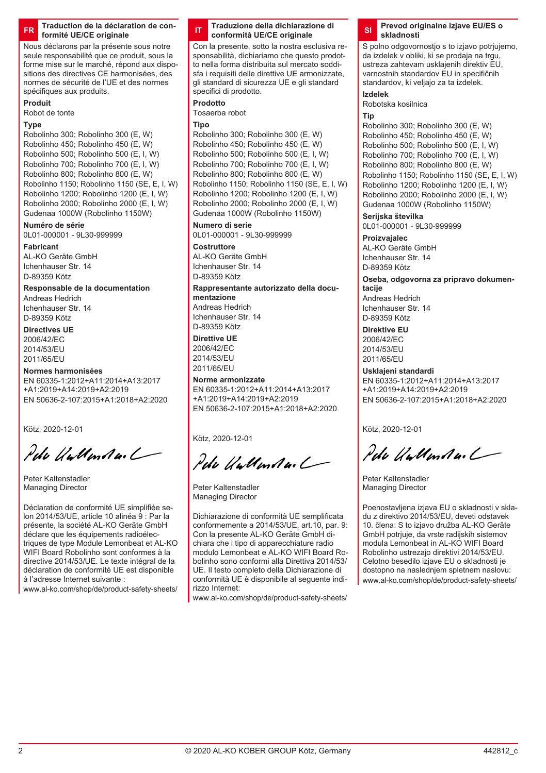**FR Traduction de la déclaration de conformité UE/CE originale**

Nous déclarons par la présente sous notre seule responsabilité que ce produit, sous la forme mise sur le marché, répond aux dispositions des directives CE harmonisées, des normes de sécurité de l'UE et des normes spécifiques aux produits.

# **Produit**

Robot de tonte

### **Type**

Robolinho 300; Robolinho 300 (E, W) Robolinho 450; Robolinho 450 (E, W) Robolinho 500; Robolinho 500 (E, I, W) Robolinho 700; Robolinho 700 (E, I, W) Robolinho 800; Robolinho 800 (E, W) Robolinho 1150; Robolinho 1150 (SE, E, I, W) Robolinho 1200; Robolinho 1200 (E, I, W) Robolinho 2000; Robolinho 2000 (E, I, W) Gudenaa 1000W (Robolinho 1150W)

### **Numéro de série**

0L01-000001 - 9L30-999999

#### **Fabricant**

AL-KO Geräte GmbH Ichenhauser Str. 14 D-89359 Kötz

### **Responsable de la documentation**

Andreas Hedrich Ichenhauser Str. 14 D-89359 Kötz

#### **Directives UE** 2006/42/EC

2014/53/EU 2011/65/EU

### **Normes harmonisées**

EN 60335-1:2012+A11:2014+A13:2017 +A1:2019+A14:2019+A2:2019 EN 50636-2-107:2015+A1:2018+A2:2020

Kötz, 2020-12-01

Pela Untlender /

Peter Kaltenstadler Managing Director

Déclaration de conformité UE simplifiée selon 2014/53/UE, article 10 alinéa 9 : Par la présente, la société AL-KO Geräte GmbH déclare que les équipements radioélectriques de type Module Lemonbeat et AL-KO WIFI Board Robolinho sont conformes à la directive 2014/53/UE. Le texte intégral de la déclaration de conformité UE est disponible à l'adresse Internet suivante :

www.al-ko.com/shop/de/product-safety-sheets/

### **IT Traduzione della dichiarazione di conformità UE/CE originale**

Con la presente, sotto la nostra esclusiva responsabilità, dichiariamo che questo prodotto nella forma distribuita sul mercato soddisfa i requisiti delle direttive UE armonizzate, gli standard di sicurezza UE e gli standard specifici di prodotto.

### **Prodotto**

Tosaerba robot

### **Tipo**

Robolinho 300; Robolinho 300 (E, W) Robolinho 450; Robolinho 450 (E, W) Robolinho 500; Robolinho 500 (E, I, W) Robolinho 700; Robolinho 700 (E, I, W) Robolinho 800; Robolinho 800 (E, W) Robolinho 1150; Robolinho 1150 (SE, E, I, W) Robolinho 1200; Robolinho 1200 (E, I, W) Robolinho 2000; Robolinho 2000 (E, I, W) Gudenaa 1000W (Robolinho 1150W)

#### **Numero di serie**

0L01-000001 - 9L30-999999

# **Costruttore**

AL-KO Geräte GmbH Ichenhauser Str. 14 D-89359 Kötz

### **Rappresentante autorizzato della docu-**

**mentazione** Andreas Hedrich Ichenhauser Str. 14 D-89359 Kötz

### **Direttive UE**

2006/42/EC 2014/53/EU 2011/65/EU

#### **Norme armonizzate**

EN 60335-1:2012+A11:2014+A13:2017 +A1:2019+A14:2019+A2:2019 EN 50636-2-107:2015+A1:2018+A2:2020

Kötz, 2020-12-01

Pela Unthended

Peter Kaltenstadler Managing Director

Dichiarazione di conformità UE semplificata conformemente a 2014/53/UE, art.10, par. 9: Con la presente AL-KO Geräte GmbH dichiara che i tipo di apparecchiature radio modulo Lemonbeat e AL-KO WIFI Board Robolinho sono conformi alla Direttiva 2014/53/ UE. Il testo completo della Dichiarazione di conformità UE è disponibile al seguente indirizzo Internet:

www.al-ko.com/shop/de/product-safety-sheets/

#### **SI Prevod originalne izjave EU/ES o skladnosti**

S polno odgovornostio s to izjavo potriujemo. da izdelek v obliki, ki se prodaja na trgu, ustreza zahtevam usklajenih direktiv EU, varnostnih standardov EU in specifičnih standardov, ki veljajo za ta izdelek.

#### **Izdelek**

Robotska kosilnica

#### **Tip**

Robolinho 300; Robolinho 300 (E, W) Robolinho 450; Robolinho 450 (E, W) Robolinho 500; Robolinho 500 (E, I, W)  $R$ obolinho 700; Robolinho 700 (E, I, W) Robolinho 800; Robolinho 800 (E, W) Robolinho 1150; Robolinho 1150 (SE, E, I, W) Robolinho 1200; Robolinho 1200 (E, I, W) Robolinho 2000; Robolinho 2000 (E, I, W) Gudenaa 1000W (Robolinho 1150W)

### **Serijska številka**

0L01-000001 - 9L30-999999

**Proizvajalec** AL-KO Geräte GmbH Ichenhauser Str. 14 D-89359 Kötz

#### **Oseba, odgovorna za pripravo dokumentacije**

Andreas Hedrich Ichenhauser Str. 14 D-89359 Kötz

### **Direktive EU**

2006/42/EC 2014/53/EU 2011/65/EU

#### **Usklajeni standardi**

EN 60335-1:2012+A11:2014+A13:2017 +A1:2019+A14:2019+A2:2019 EN 50636-2-107:2015+A1:2018+A2:2020

Kötz, 2020-12-01

Pela Wellendard

Peter Kaltenstadler Managing Director

Poenostavljena izjava EU o skladnosti v skladu z direktivo 2014/53/EU, deveti odstavek 10. člena: S to izjavo družba AL-KO Geräte GmbH potrjuje, da vrste radijskih sistemov modula Lemonbeat in AL-KO WIFI Board Robolinho ustrezajo direktivi 2014/53/EU. Celotno besedilo izjave EU o skladnosti je dostopno na naslednjem spletnem naslovu: www.al-ko.com/shop/de/product-safety-sheets/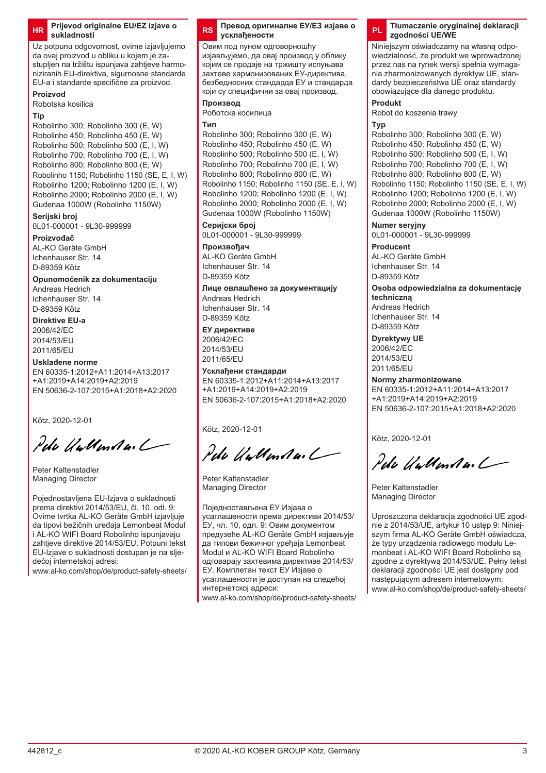#### **HR Prijevod originalne EU/EZ izjave o sukladnosti**

Uz potpunu odgovornost, ovime izjavljujemo da ovaj proizvod u obliku u kojem je zastupljen na tržištu ispunjava zahtjeve harmoniziranih EU-direktiva, sigurnosne standarde EU-a i standarde specifične za proizvod.

### **Proizvod**

Robotska kosilica

#### **Tip**

Robolinho 300; Robolinho 300 (E, W) Robolinho 450; Robolinho 450 (E, W) Robolinho 500; Robolinho 500 (E, I, W)  $R$ obolinho 700; Robolinho 700 (E, I, W) Robolinho 800; Robolinho 800 (E, W) Robolinho 1150; Robolinho 1150 (SE, E, I, W) Robolinho 1200; Robolinho 1200 (E, I, W) Robolinho 2000; Robolinho 2000 (E, I, W) Gudenaa 1000W (Robolinho 1150W)

### **Serijski broj**

0L01-000001 - 9L30-999999

### **Proizvođač**

AL-KO Geräte GmbH Ichenhauser Str. 14 D-89359 Kötz

### **Opunomoćenik za dokumentaciju** Andreas Hedrich

Ichenhauser Str. 14 D-89359 Kötz

#### **Direktive EU-a** 2006/42/EC 2014/53/EU 2011/65/EU

### **Usklađene norme**

EN 60335-1:2012+A11:2014+A13:2017 +A1:2019+A14:2019+A2:2019 EN 50636-2-107:2015+A1:2018+A2:2020

Kötz, 2020-12-01

Pelo UnMental

Peter Kaltenstadler Managing Director

Pojednostavljena EU-Izjava o sukladnosti prema direktivi 2014/53/EU, čl. 10, odl. 9: Ovime tvrtka AL-KO Geräte GmbH izjavljuje da tipovi bežičnih uređaja Lemonbeat Modul i AL-KO WIFI Board Robolinho ispunjavaju zahtieve direktive 2014/53/EU. Potpuni tekst EU-Izjave o sukladnosti dostupan je na sljedećoj internetskoj adresi:

www.al-ko.com/shop/de/product-safety-sheets/

#### **RS Превод оригиналне ЕУ/ЕЗ изјаве о усклађености**

Овим под пуном одговорношћу изјављујемо, да овај производ у облику којим се продаје на тржишту испуњава захтеве хармонизованих ЕУ-директива, безбедносних стандарда ЕУ и стандарда који су специфични за овај производ.

### **Производ**

Роботска косилица

#### **Тип**

Robolinho 300; Robolinho 300 (E, W) Robolinho 450; Robolinho 450 (E, W) Robolinho 500; Robolinho 500 (E, I, W) Robolinho 700; Robolinho 700 (E, I, W) Robolinho 800; Robolinho 800 (E, W) Robolinho 1150; Robolinho 1150 (SE, E, I, W) Robolinho 1200; Robolinho 1200 (E, I, W) Robolinho 2000; Robolinho 2000 (E, I, W) Gudenaa 1000W (Robolinho 1150W)

### **Серијски број**

0L01-000001 - 9L30-999999

#### **Произвођач** AL-KO Geräte GmbH Ichenhauser Str. 14

D-89359 Kötz

### **Лице овлашћено за документацију**

Andreas Hedrich Ichenhauser Str. 14 D-89359 Kötz

### **ЕУ директиве**

2006/42/EC 2014/53/EU 2011/65/EU

### **Усклађени стандарди**

EN 60335-1:2012+A11:2014+A13:2017 +A1:2019+A14:2019+A2:2019 EN 50636-2-107:2015+A1:2018+A2:2020

Kötz, 2020-12-01

Pete Wellenda. L

Peter Kaltenstadler Managing Director

Поједностављена ЕУ Изјава о усаглашености према директиви 2014/53/ ЕУ, чл. 10, одл. 9: Овим документом предузеће AL-KO Geräte GmbH изјављује да типови бежичног уређаја Lemonbеat Modul и AL-KO WIFI Board Robolinho одговарају захтевима директиве 2014/53/ ЕУ. Комплетан текст ЕУ Изјаве о усаглашености је доступан на следећој интернетској адреси:

www.al-ko.com/shop/de/product-safety-sheets/

### **PL Tłumaczenie oryginalnej deklaracji zgodności UE/WE**

Niniejszym oświadczamy na własną odpowiedzialność, że produkt we wprowadzonej przez nas na rynek wersji spełnia wymagania zharmonizowanych dyrektyw UE, standardy bezpieczeństwa UE oraz standardy obowiązujące dla danego produktu.

### **Produkt**

Robot do koszenia trawy

#### **Typ**

Robolinho 300; Robolinho 300 (E, W) Robolinho 450; Robolinho 450 (E, W) Robolinho 500; Robolinho 500 (E, I, W) Robolinho 700; Robolinho 700 (E, I, W) Robolinho 800; Robolinho 800 (E, W) Robolinho 1150; Robolinho 1150 (SE, E, I, W) Robolinho 1200; Robolinho 1200 (E, I, W) Robolinho 2000; Robolinho 2000 (E, I, W) Gudenaa 1000W (Robolinho 1150W)

### **Numer seryjny**

0L01-000001 - 9L30-999999

**Producent** AL-KO Geräte GmbH Ichenhauser Str. 14 D-89359 Kötz

#### **Osoba odpowiedzialna za dokumentację techniczną**

Andreas Hedrich Ichenhauser Str. 14 D-89359 Kötz

#### **Dyrektywy UE** 2006/42/EC

2014/53/EU 2011/65/EU

### **Normy zharmonizowane**

EN 60335-1:2012+A11:2014+A13:2017 +A1:2019+A14:2019+A2:2019 EN 50636-2-107:2015+A1:2018+A2:2020

Kötz, 2020-12-01

Pela Wallander /

Peter Kaltenstadler Managing Director

Uproszczona deklaracja zgodności UE zgodnie z 2014/53/UE, artykuł 10 ustęp 9: Niniejszym firma AL-KO Geräte GmbH oświadcza, że typy urządzenia radiowego modułu Lemonbeat i AL-KO WIFI Board Robolinho są zgodne z dyrektywą 2014/53/UE. Pełny tekst deklaracji zgodności UE jest dostępny pod następującym adresem internetowym: www.al-ko.com/shop/de/product-safety-sheets/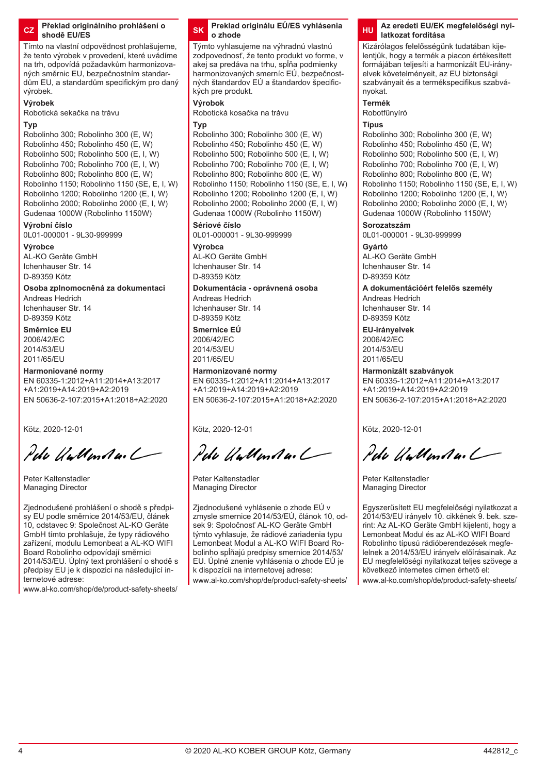#### **CZ Překlad originálního prohlášení o shodě EU/ES**

Tímto na vlastní odpovědnost prohlašujeme, že tento výrobek v provedení, které uvádíme na trh, odpovídá požadavkům harmonizovaných směrnic EU, bezpečnostním standardům EU, a standardům specifickým pro daný výrobek.

### **Výrobek**

Robotická sekačka na trávu

#### **Typ**

Robolinho 300; Robolinho 300 (E, W) Robolinho 450; Robolinho 450 (E, W) Robolinho 500; Robolinho 500 (E, I, W) Robolinho 700; Robolinho 700 (E, I, W) Robolinho 800; Robolinho 800 (E, W) Robolinho 1150; Robolinho 1150 (SE, E, I, W) Robolinho 1200; Robolinho 1200 (E, I, W) Robolinho 2000; Robolinho 2000 (E, I, W) Gudenaa 1000W (Robolinho 1150W)

#### **Výrobní číslo**

0L01-000001 - 9L30-999999

#### **Výrobce**

AL-KO Geräte GmbH Ichenhauser Str. 14 D-89359 Kötz

### **Osoba zplnomocněná za dokumentaci**

Andreas Hedrich Ichenhauser Str. 14 D-89359 Kötz

#### **Směrnice EU** 2006/42/EC 2014/53/EU 2011/65/EU

#### **Harmoniované normy**

EN 60335-1:2012+A11:2014+A13:2017 +A1:2019+A14:2019+A2:2019 EN 50636-2-107:2015+A1:2018+A2:2020

Kötz, 2020-12-01

Pela Wallanda. L

Peter Kaltenstadler Managing Director

Zjednodušené prohlášení o shodě s předpisy EU podle směrnice 2014/53/EU, článek 10, odstavec 9: Společnost AL-KO Geräte GmbH tímto prohlašuje, že typy rádiového zařízení, modulu Lemonbeat a AL-KO WIFI Board Robolinho odpovídají směrnici 2014/53/EU. Úplný text prohlášení o shodě s předpisy EU je k dispozici na následující internetové adrese:

www.al-ko.com/shop/de/product-safety-sheets/

#### **SK Preklad originálu EÚ/ES vyhlásenia o zhode**

Týmto vyhlasujeme na výhradnú vlastnú zodpovednosť, že tento produkt vo forme, v akej sa predáva na trhu, spĺňa podmienky harmonizovaných smerníc EÚ, bezpečnostných štandardov EÚ a štandardov špecifických pre produkt.

### **Výrobok**

Robotická kosačka na trávu

#### **Typ**

Robolinho 300; Robolinho 300 (E, W) Robolinho 450; Robolinho 450 (E, W) Robolinho 500; Robolinho 500 (E, I, W) Robolinho 700; Robolinho 700 (E, I, W) Robolinho 800; Robolinho 800 (E, W) Robolinho 1150; Robolinho 1150 (SE, E, I, W) Robolinho 1200; Robolinho 1200 (E, I, W) Robolinho 2000; Robolinho 2000 (E, I, W) Gudenaa 1000W (Robolinho 1150W)

#### **Sériové číslo**

0L01-000001 - 9L30-999999 **Výrobca** AL-KO Geräte GmbH

Ichenhauser Str. 14 D-89359 Kötz

#### **Dokumentácia - oprávnená osoba**

Andreas Hedrich Ichenhauser Str. 14 D-89359 Kötz

**Smernice EÚ** 2006/42/EC 2014/53/EU 2011/65/EU

#### **Harmonizované normy**

EN 60335-1:2012+A11:2014+A13:2017 +A1:2019+A14:2019+A2:2019 EN 50636-2-107:2015+A1:2018+A2:2020

Kötz, 2020-12-01

Pela Wallanda. L

Peter Kaltenstadler Managing Director

Zjednodušené vyhlásenie o zhode EÚ v zmysle smernice 2014/53/EÚ, článok 10, odsek 9: Spoločnosť AL-KO Geräte GmbH týmto vyhlasuje, že rádiové zariadenia typu Lemonbeat Modul a AL-KO WIFI Board Robolinho spĺňajú predpisy smernice 2014/53/ EU. Úplné znenie vyhlásenia o zhode EÚ je k dispozícii na internetovej adrese:

www.al-ko.com/shop/de/product-safety-sheets/

### **HU Az eredeti EU/EK megfelelőségi nyilatkozat fordítása**

Kizárólagos felelősségünk tudatában kijelentjük, hogy a termék a piacon értékesített formájában teljesíti a harmonizált EU-irányelvek követelményeit, az EU biztonsági szabványait és a termékspecifikus szabványokat.

**Termék**

### Robotfűnyíró

### **Típus**

Robolinho 300; Robolinho 300 (E, W) Robolinho 450; Robolinho 450 (E, W) Robolinho 500; Robolinho 500 (E, I, W) Robolinho 700; Robolinho 700 (E, I, W) Robolinho 800; Robolinho 800 (E, W) Robolinho 1150; Robolinho 1150 (SE, E, I, W) Robolinho 1200; Robolinho 1200 (E, I, W) Robolinho 2000; Robolinho 2000 (E, I, W) Gudenaa 1000W (Robolinho 1150W)

#### **Sorozatszám**

0L01-000001 - 9L30-999999

**Gyártó** AL-KO Geräte GmbH Ichenhauser Str. 14 D-89359 Kötz

### **A dokumentációért felelős személy**

Andreas Hedrich Ichenhauser Str. 14 D-89359 Kötz

### **EU-irányelvek**

2006/42/EC 2014/53/EU 2011/65/EU

### **Harmonizált szabványok**

EN 60335-1:2012+A11:2014+A13:2017 +A1:2019+A14:2019+A2:2019 EN 50636-2-107:2015+A1:2018+A2:2020

Kötz, 2020-12-01

Pela Wellendard

Peter Kaltenstadler Managing Director

Egyszerűsített EU megfelelőségi nyilatkozat a 2014/53/EU irányelv 10. cikkének 9. bek. szerint: Az AL-KO Geräte GmbH kijelenti, hogy a Lemonbeat Modul és az AL-KO WIFI Board Robolinho típusú rádióberendezések megfelelnek a 2014/53/EU irányelv előírásainak. Az EU megfelelőségi nyilatkozat teljes szövege a következő internetes címen érhető el: www.al-ko.com/shop/de/product-safety-sheets/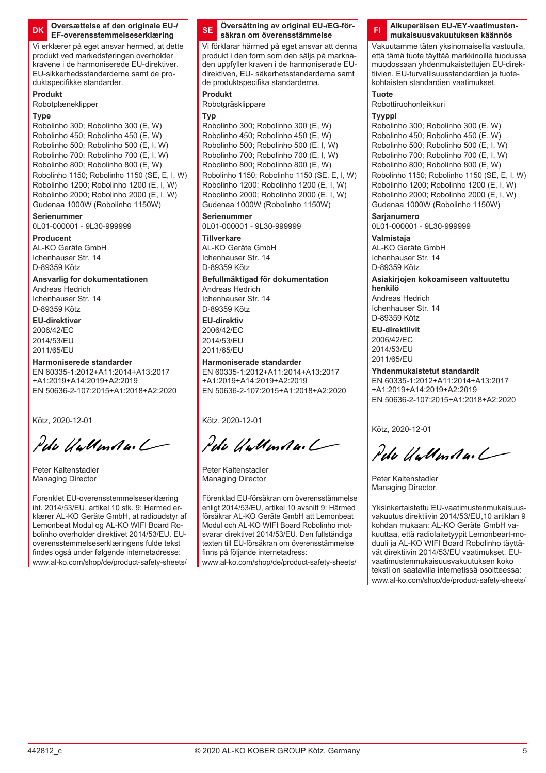#### **DK Oversættelse af den originale EU-/ EF-overensstemmelseserklæring**

Vi erklærer på eget ansvar hermed, at dette produkt ved markedsføringen overholder kravene i de harmoniserede EU-direktiver, EU-sikkerhedsstandarderne samt de produktspecifikke standarder.

#### **Produkt**

Robotplæneklipper

### **Type**

Robolinho 300; Robolinho 300 (E, W) Robolinho 450; Robolinho 450 (E, W) Robolinho 500; Robolinho 500 (E, I, W)  $R$ obolinho 700; Robolinho 700 (E, I, W) Robolinho 800; Robolinho 800 (E, W) Robolinho 1150; Robolinho 1150 (SE, E, I, W) Robolinho 1200; Robolinho 1200 (E, I, W) Robolinho 2000; Robolinho 2000 (E, I, W) Gudenaa 1000W (Robolinho 1150W)

#### **Serienummer**

0L01-000001 - 9L30-999999

### **Producent**

AL-KO Geräte GmbH Ichenhauser Str. 14 D-89359 Kötz

**Ansvarlig for dokumentationen**

Andreas Hedrich Ichenhauser Str. 14 D-89359 Kötz

**EU-direktiver** 2006/42/EC 2014/53/EU 2011/65/EU

#### **Harmoniserede standarder**

EN 60335-1:2012+A11:2014+A13:2017 +A1:2019+A14:2019+A2:2019 EN 50636-2-107:2015+A1:2018+A2:2020

Kötz, 2020-12-01

Pela Wellendar L

Peter Kaltenstadler Managing Director

Forenklet EU-overensstemmelseserklæring iht. 2014/53/EU, artikel 10 stk. 9: Hermed erklærer AL-KO Geräte GmbH, at radioudstyr af Lemonbeat Modul og AL-KO WIFI Board Robolinho overholder direktivet 2014/53/EU. EUoverensstemmelseserklæringens fulde tekst findes også under følgende internetadresse: www.al-ko.com/shop/de/product-safety-sheets/

#### **SE Översättning av original EU-/EG-försäkran om överensstämmelse**

Vi förklarar härmed på eget ansvar att denna produkt i den form som den säljs på marknaden uppfyller kraven i de harmoniserade EUdirektiven, EU- säkerhetsstandarderna samt de produktspecifika standarderna.

#### **Produkt**

Robotgräsklippare

#### **Typ**

Robolinho 300; Robolinho 300 (E, W) Robolinho 450; Robolinho 450 (E, W) Robolinho 500; Robolinho 500 (E, I, W) Robolinho 700; Robolinho 700 (F, J, W) Robolinho 800; Robolinho 800 (E, W) Robolinho 1150; Robolinho 1150 (SE, E, I, W) Robolinho 1200; Robolinho 1200 (E, I, W) Robolinho 2000; Robolinho 2000 (E, I, W) Gudenaa 1000W (Robolinho 1150W)

### **Serienummer**

0L01-000001 - 9L30-999999

### **Tillverkare**

AL-KO Geräte GmbH Ichenhauser Str. 14 D-89359 Kötz

### **Befullmäktigad för dokumentation**

Andreas Hedrich Ichenhauser Str. 14 D-89359 Kötz

### **EU-direktiv** 2006/42/EC

2014/53/EU 2011/65/EU

### **Harmoniserade standarder**

EN 60335-1:2012+A11:2014+A13:2017 +A1:2019+A14:2019+A2:2019 EN 50636-2-107:2015+A1:2018+A2:2020

Kötz, 2020-12-01

Peda Walland an L

Peter Kaltenstadler Managing Director

Förenklad EU-försäkran om överensstämmelse enligt 2014/53/EU, artikel 10 avsnitt 9: Härmed försäkrar AL-KO Geräte GmbH att Lemonbeat Modul och AL-KO WIFI Board Robolinho motsvarar direktivet 2014/53/EU. Den fullständiga texten till EU-försäkran om överensstämmelse finns på följande internetadress:

www.al-ko.com/shop/de/product-safety-sheets/

#### **FI Alkuperäisen EU-/EY-vaatimustenmukaisuusvakuutuksen käännös**

Vakuutamme täten yksinomaisella vastuulla, että tämä tuote täyttää markkinoille tuodussa muodossaan yhdenmukaistettujen EU-direktiivien, EU-turvallisuusstandardien ja tuotekohtaisten standardien vaatimukset.

#### **Tuote**

Robottiruohonleikkuri

#### **Tyyppi**

Robolinho 300; Robolinho 300 (E, W) Robolinho 450; Robolinho 450 (E, W) Robolinho 500; Robolinho 500 (E, I, W)  $R$ obolinho 700; Robolinho 700 (E, I, W) Robolinho 800; Robolinho 800 (E, W) Robolinho 1150; Robolinho 1150 (SE, E, I, W) Robolinho 1200; Robolinho 1200 (E, I, W) Robolinho 2000; Robolinho 2000 (E, I, W) Gudenaa 1000W (Robolinho 1150W)

### **Sarjanumero**

0L01-000001 - 9L30-999999

**Valmistaja** AL-KO Geräte GmbH Ichenhauser Str. 14 D-89359 Kötz

#### **Asiakirjojen kokoamiseen valtuutettu henkilö**

Andreas Hedrich Ichenhauser Str. 14 D-89359 Kötz

### **EU-direktiivit**

2006/42/EC 2014/53/EU 2011/65/EU

### **Yhdenmukaistetut standardit**

EN 60335-1:2012+A11:2014+A13:2017 +A1:2019+A14:2019+A2:2019 EN 50636-2-107:2015+A1:2018+A2:2020

Kötz, 2020-12-01

Pela Wellendard

Peter Kaltenstadler Managing Director

Yksinkertaistettu EU-vaatimustenmukaisuusvakuutus direktiivin 2014/53/EU,10 artiklan 9 kohdan mukaan: AL-KO Geräte GmbH vakuuttaa, että radiolaitetyypit Lemonbeart-moduuli ja AL-KO WIFI Board Robolinho täyttävät direktiivin 2014/53/EU vaatimukset. EUvaatimustenmukaisuusvakuutuksen koko teksti on saatavilla internetissä osoitteessa: www.al-ko.com/shop/de/product-safety-sheets/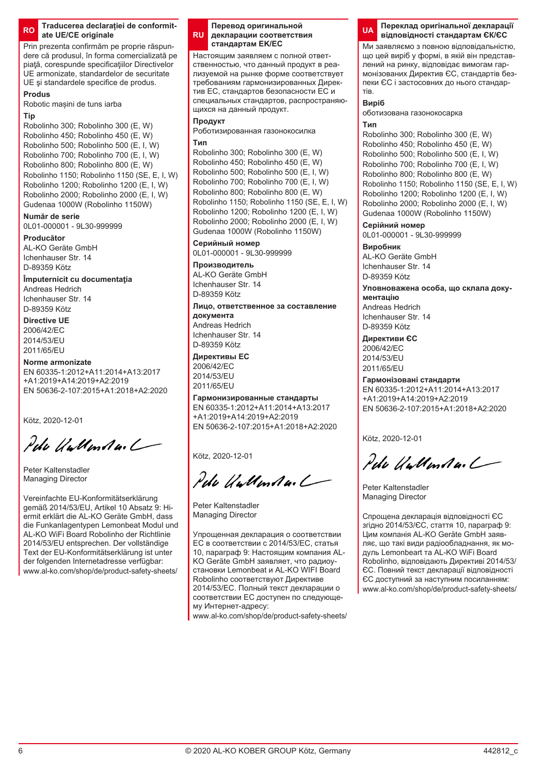www.al-ko.com/shop/de/product-safety-sheets/

### **RO Traducerea declarației de conformitate UE/CE originale**

Prin prezenta confirmăm pe proprie răspundere că produsul, în forma comercializată pe piață, corespunde specificațiilor Directivelor UE armonizate, standardelor de securitate UE si standardele specifice de produs.

### **Produs**

Robotic mașini de tuns iarba

#### **Tip**

Robolinho 300; Robolinho 300 (E, W) Robolinho 450; Robolinho 450 (E, W) Robolinho 500; Robolinho 500 (E, I, W)  $R$ obolinho 700; Robolinho 700 (E, I, W) Robolinho 800; Robolinho 800 (E, W) Robolinho 1150; Robolinho 1150 (SE, E, I, W) Robolinho 1200; Robolinho 1200 (E, I, W) Robolinho 2000; Robolinho 2000 (E, I, W) Gudenaa 1000W (Robolinho 1150W)

### **Număr de serie**

0L01-000001 - 9L30-999999

### **Producător**

AL-KO Geräte GmbH Ichenhauser Str. 14 D-89359 Kötz

# **Împuternicit cu documentaţia**

Andreas Hedrich Ichenhauser Str. 14 D-89359 Kötz

#### **Directive UE** 2006/42/EC 2014/53/EU

2011/65/EU

### **Norme armonizate**

EN 60335-1:2012+A11:2014+A13:2017 +A1:2019+A14:2019+A2:2019 EN 50636-2-107:2015+A1:2018+A2:2020

Kötz, 2020-12-01

Pela Wallandes L

Peter Kaltenstadler Managing Director

Vereinfachte EU-Konformitätserklärung gemäß 2014/53/EU, Artikel 10 Absatz 9: Hiermit erklärt die AL-KO Geräte GmbH, dass die Funkanlagentypen Lemonbeat Modul und AL-KO WiFi Board Robolinho der Richtlinie 2014/53/EU entsprechen. Der vollständige Text der EU-Konformitätserklärung ist unter der folgenden Internetadresse verfügbar:

#### **RU Перевод оригинальной декларации соответствия стандартам EK/ЕС**

Настоящим заявляем с полной ответственностью, что данный продукт в реализуемой на рынке форме соответствует требованиям гармонизированных Директив ЕС, стандартов безопасности ЕС и специальных стандартов, распространяющихся на данный продукт.

### **Продукт**

Роботизированная газонокосилка **Тип**

Robolinho 300; Robolinho 300 (E, W) Robolinho 450; Robolinho 450 (E, W) Robolinho 500; Robolinho 500 (E, I, W) Robolinho 700; Robolinho 700 (E, I, W) Robolinho 800; Robolinho 800 (E, W) Robolinho 1150; Robolinho 1150 (SE, E, I, W) Robolinho 1200; Robolinho 1200 (F, L, W) Robolinho 2000; Robolinho 2000 (E, I, W) Gudenaa 1000W (Robolinho 1150W)

### **Серийный номер**

0L01-000001 - 9L30-999999

### **Производитель**

AL-KO Geräte GmbH Ichenhauser Str. 14 D-89359 Kötz

### **Лицо, ответственное за составление документа**

Andreas Hedrich Ichenhauser Str. 14 D-89359 Kötz

### **Директивы ЕС**

2006/42/EC  $2014/52E1$ 2011/65/EU

**Гармонизированные стандарты** EN 60335-1:2012+A11:2014+A13:2017 +A1:2019+A14:2019+A2:2019 EN 50636-2-107:2015+A1:2018+A2:2020

Kötz, 2020-12-01

Pelo Villenta.

Peter Kaltenstadler Managing Director

Упрощенная декларация о соответствии ЕС в соответствии с 2014/53/ЕС, статья 10, параграф 9: Настоящим компания AL-KO Geräte GmbH заявляет, что радиоустановки Lemonbeat и AL-KO WIFI Board Robolinho соответствуют Директиве 2014/53/ЕС. Полный текст декларации о соответствии ЕС доступен по следующему Интернет-адресу:

www.al-ko.com/shop/de/product-safety-sheets/

#### **UA Переклад оригінальної декларації відповідності стандартам ЄК/ЄС**

Ми заявляємо з повною відповідальністю, що цей виріб у формі, в якій він представлений на ринку, відповідає вимогам гармонізованих Директив ЄС, стандартів безпеки ЄС і застосовних до нього стандартів.

### **Виріб**

оботизована газонокосарка

### **Тип**

Robolinho 300; Robolinho 300 (E, W) Robolinho 450; Robolinho 450 (E, W) Robolinho 500; Robolinho 500 (E, I, W) Robolinho 700; Robolinho 700 (E, I, W) Robolinho 800; Robolinho 800 (E, W) Robolinho 1150; Robolinho 1150 (SE, E, I, W) Robolinho 1200; Robolinho 1200 (E, I, W) Robolinho 2000; Robolinho 2000 (E, I, W) Gudenaa 1000W (Robolinho 1150W)

### **Серійний номер**

0L01-000001 - 9L30-999999

#### **Виробник** AL-KO Geräte GmbH Ichenhauser Str. 14

D-89359 Kötz

#### **Уповноважена особа, що склала документацію**

Andreas Hedrich Ichenhauser Str. 14 D-89359 Kötz

### **Директиви ЄС**

2006/42/EC 2014/53/EU 2011/65/EU

### **Гармонізовані стандарти**

EN 60335-1:2012+A11:2014+A13:2017 +A1:2019+A14:2019+A2:2019 EN 50636-2-107:2015+A1:2018+A2:2020

Kötz, 2020-12-01

Pela Wallander /

Peter Kaltenstadler Managing Director

Спрощена декларація відповідності ЄС згідно 2014/53/ЄС, стаття 10, параграф 9: Цим компанія AL-KO Geräte GmbH заявляє, що такі види радіообладнання, як модуль Lemonbeart та AL-KO WiFi Board Robolinho, відповідають Директиві 2014/53/ ЄС. Повний текст декларації відповідності ЄС доступний за наступним посиланням: www.al-ko.com/shop/de/product-safety-sheets/